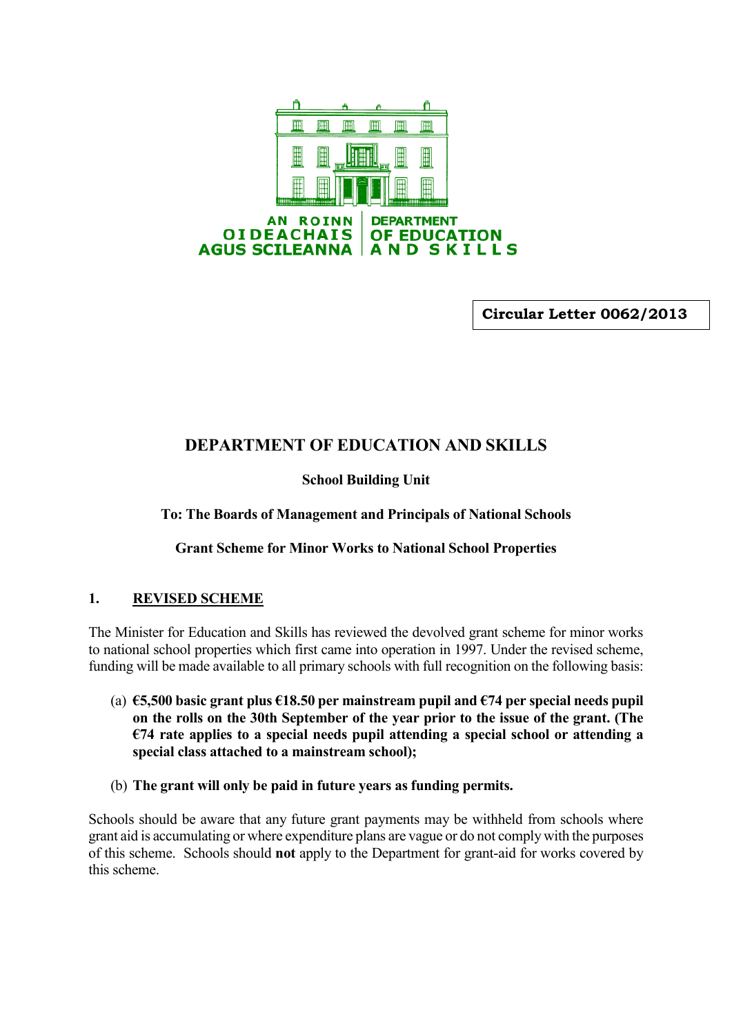

**Circular Letter 0062/2013**

# **DEPARTMENT OF EDUCATION AND SKILLS**

# **School Building Unit**

**To: The Boards of Management and Principals of National Schools**

**Grant Scheme for Minor Works to National School Properties**

### **1. REVISED SCHEME**

The Minister for Education and Skills has reviewed the devolved grant scheme for minor works to national school properties which first came into operation in 1997. Under the revised scheme, funding will be made available to all primary schools with full recognition on the following basis:

- (a) **€5,500 basic grant plus €18.50 per mainstream pupil and €74 per special needs pupil on the rolls on the 30th September of the year prior to the issue of the grant. (The €74 rate applies to a special needs pupil attending a special school or attending a special class attached to a mainstream school);**
- (b) **The grant will only be paid in future years as funding permits.**

Schools should be aware that any future grant payments may be withheld from schools where grant aid is accumulating or where expenditure plans are vague or do not comply with the purposes of this scheme. Schools should **not** apply to the Department for grant-aid for works covered by this scheme.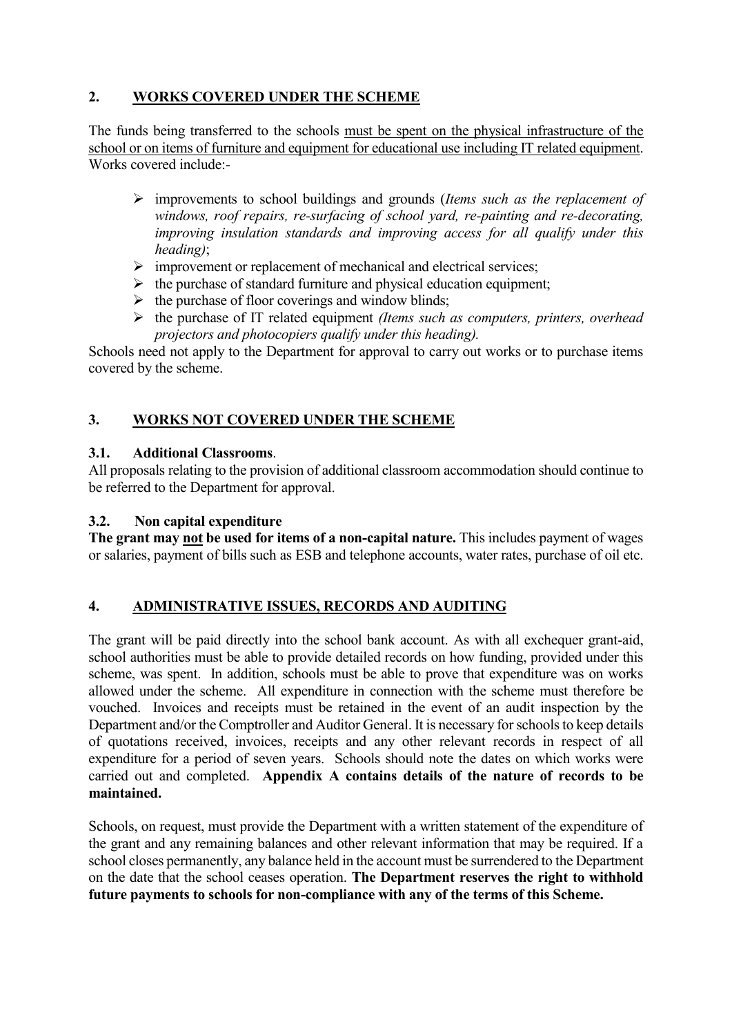# **2. WORKS COVERED UNDER THE SCHEME**

The funds being transferred to the schools must be spent on the physical infrastructure of the school or on items of furniture and equipment for educational use including IT related equipment. Works covered include:-

- improvements to school buildings and grounds (*Items such as the replacement of windows, roof repairs, re-surfacing of school yard, re-painting and re-decorating, improving insulation standards and improving access for all qualify under this heading)*;
- $\triangleright$  improvement or replacement of mechanical and electrical services;
- $\triangleright$  the purchase of standard furniture and physical education equipment;
- $\triangleright$  the purchase of floor coverings and window blinds;
- the purchase of IT related equipment *(Items such as computers, printers, overhead projectors and photocopiers qualify under this heading).*

Schools need not apply to the Department for approval to carry out works or to purchase items covered by the scheme.

### **3. WORKS NOT COVERED UNDER THE SCHEME**

### **3.1. Additional Classrooms**.

All proposals relating to the provision of additional classroom accommodation should continue to be referred to the Department for approval.

### **3.2. Non capital expenditure**

**The grant may not be used for items of a non-capital nature.** This includes payment of wages or salaries, payment of bills such as ESB and telephone accounts, water rates, purchase of oil etc.

### **4. ADMINISTRATIVE ISSUES, RECORDS AND AUDITING**

The grant will be paid directly into the school bank account. As with all exchequer grant-aid, school authorities must be able to provide detailed records on how funding, provided under this scheme, was spent. In addition, schools must be able to prove that expenditure was on works allowed under the scheme. All expenditure in connection with the scheme must therefore be vouched. Invoices and receipts must be retained in the event of an audit inspection by the Department and/or the Comptroller and Auditor General. It is necessary for schools to keep details of quotations received, invoices, receipts and any other relevant records in respect of all expenditure for a period of seven years. Schools should note the dates on which works were carried out and completed. **Appendix A contains details of the nature of records to be maintained.**

Schools, on request, must provide the Department with a written statement of the expenditure of the grant and any remaining balances and other relevant information that may be required. If a school closes permanently, any balance held in the account must be surrendered to the Department on the date that the school ceases operation. **The Department reserves the right to withhold future payments to schools for non-compliance with any of the terms of this Scheme.**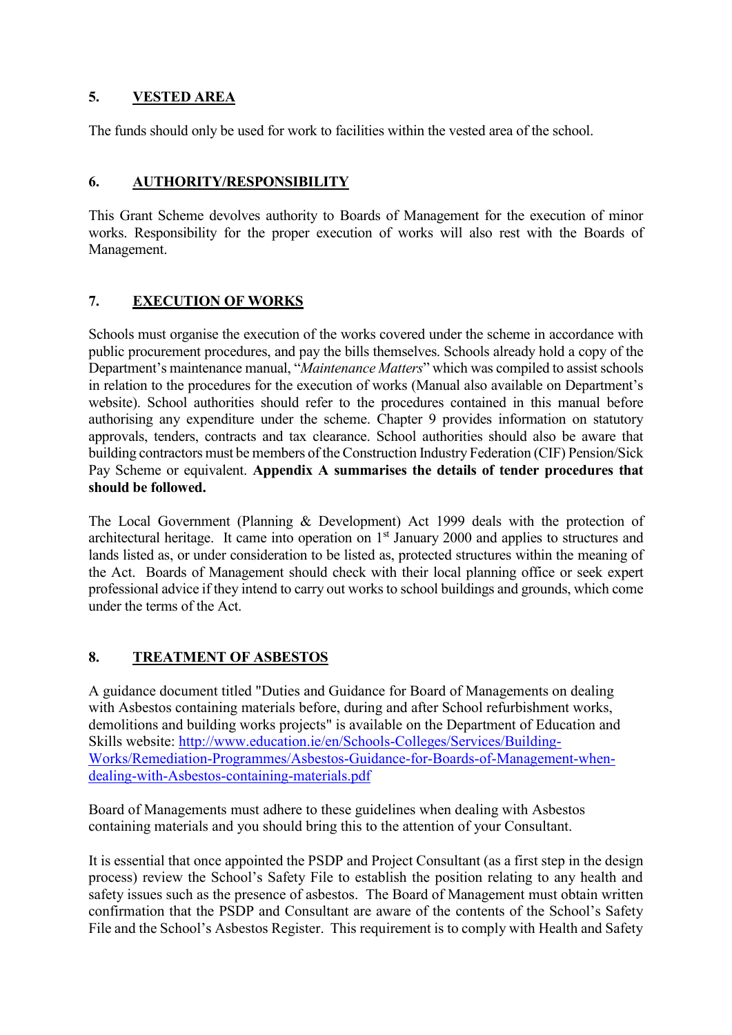# **5. VESTED AREA**

The funds should only be used for work to facilities within the vested area of the school.

### **6. AUTHORITY/RESPONSIBILITY**

This Grant Scheme devolves authority to Boards of Management for the execution of minor works. Responsibility for the proper execution of works will also rest with the Boards of Management.

### **7. EXECUTION OF WORKS**

Schools must organise the execution of the works covered under the scheme in accordance with public procurement procedures, and pay the bills themselves. Schools already hold a copy of the Department's maintenance manual, "*Maintenance Matters*" which was compiled to assist schools in relation to the procedures for the execution of works (Manual also available on Department's website). School authorities should refer to the procedures contained in this manual before authorising any expenditure under the scheme. Chapter 9 provides information on statutory approvals, tenders, contracts and tax clearance. School authorities should also be aware that building contractors must be members of the Construction Industry Federation (CIF) Pension/Sick Pay Scheme or equivalent. **Appendix A summarises the details of tender procedures that should be followed.**

The Local Government (Planning & Development) Act 1999 deals with the protection of architectural heritage. It came into operation on 1<sup>st</sup> January 2000 and applies to structures and lands listed as, or under consideration to be listed as, protected structures within the meaning of the Act. Boards of Management should check with their local planning office or seek expert professional advice if they intend to carry out works to school buildings and grounds, which come under the terms of the Act.

### **8. TREATMENT OF ASBESTOS**

A guidance document titled "Duties and Guidance for Board of Managements on dealing with Asbestos containing materials before, during and after School refurbishment works, demolitions and building works projects" is available on the Department of Education and Skills website: [http://www.education.ie/en/Schools-Colleges/Services/Building-](http://www.education.ie/en/Schools-Colleges/Services/Building-Works/Remediation-Programmes/Asbestos-Guidance-for-Boards-of-Management-when-dealing-with-Asbestos-containing-materials.pdf)[Works/Remediation-Programmes/Asbestos-Guidance-for-Boards-of-Management-when](http://www.education.ie/en/Schools-Colleges/Services/Building-Works/Remediation-Programmes/Asbestos-Guidance-for-Boards-of-Management-when-dealing-with-Asbestos-containing-materials.pdf)[dealing-with-Asbestos-containing-materials.pdf](http://www.education.ie/en/Schools-Colleges/Services/Building-Works/Remediation-Programmes/Asbestos-Guidance-for-Boards-of-Management-when-dealing-with-Asbestos-containing-materials.pdf)

Board of Managements must adhere to these guidelines when dealing with Asbestos containing materials and you should bring this to the attention of your Consultant.

It is essential that once appointed the PSDP and Project Consultant (as a first step in the design process) review the School's Safety File to establish the position relating to any health and safety issues such as the presence of asbestos. The Board of Management must obtain written confirmation that the PSDP and Consultant are aware of the contents of the School's Safety File and the School's Asbestos Register. This requirement is to comply with Health and Safety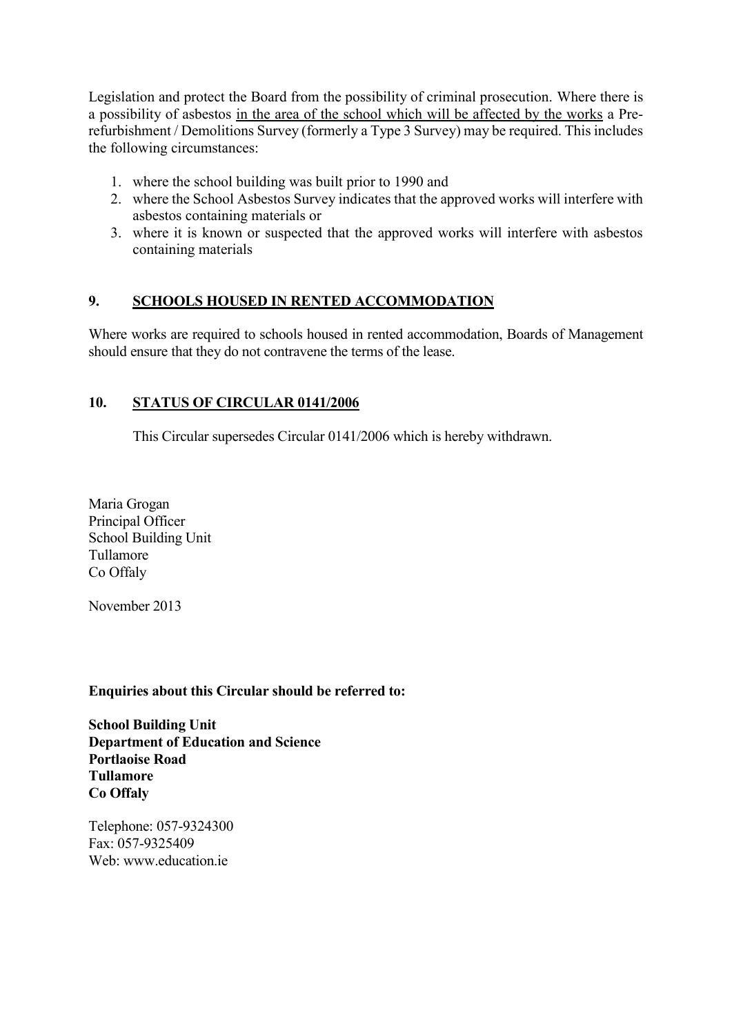Legislation and protect the Board from the possibility of criminal prosecution. Where there is a possibility of asbestos in the area of the school which will be affected by the works a Prerefurbishment / Demolitions Survey (formerly a Type 3 Survey) may be required. This includes the following circumstances:

- 1. where the school building was built prior to 1990 and
- 2. where the School Asbestos Survey indicates that the approved works will interfere with asbestos containing materials or
- 3. where it is known or suspected that the approved works will interfere with asbestos containing materials

### **9. SCHOOLS HOUSED IN RENTED ACCOMMODATION**

Where works are required to schools housed in rented accommodation, Boards of Management should ensure that they do not contravene the terms of the lease.

#### **10. STATUS OF CIRCULAR 0141/2006**

This Circular supersedes Circular 0141/2006 which is hereby withdrawn.

Maria Grogan Principal Officer School Building Unit Tullamore Co Offaly

November 2013

#### **Enquiries about this Circular should be referred to:**

**School Building Unit Department of Education and Science Portlaoise Road Tullamore Co Offaly**

Telephone: 057-9324300 Fax: 057-9325409 Web: www.education.ie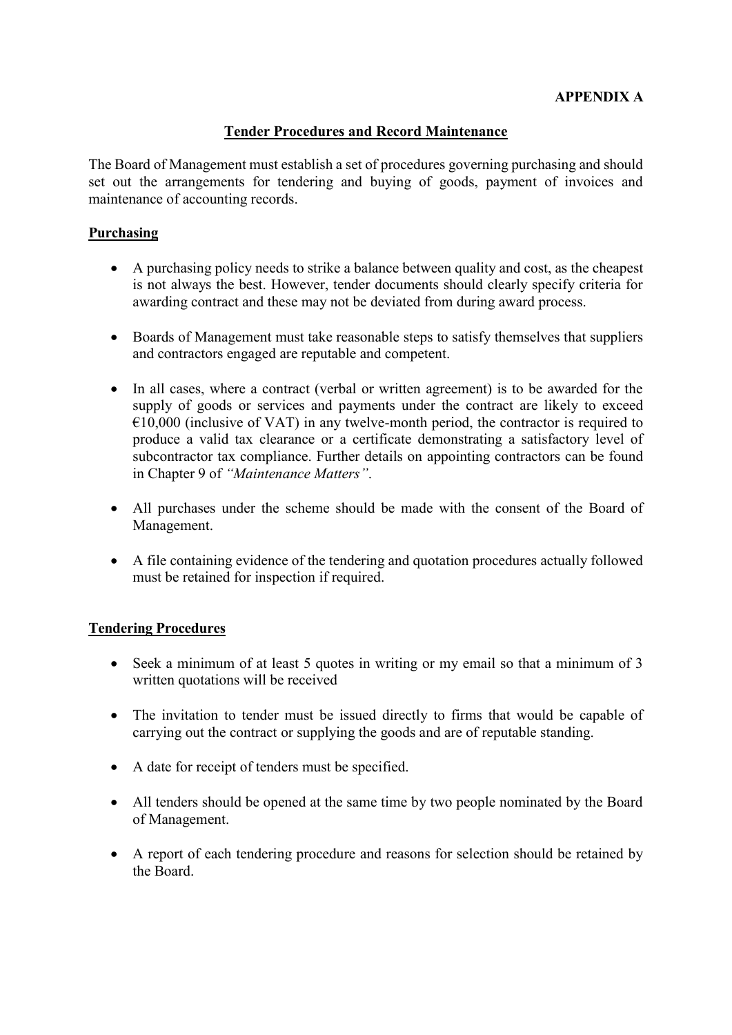### **APPENDIX A**

#### **Tender Procedures and Record Maintenance**

The Board of Management must establish a set of procedures governing purchasing and should set out the arrangements for tendering and buying of goods, payment of invoices and maintenance of accounting records.

#### **Purchasing**

- A purchasing policy needs to strike a balance between quality and cost, as the cheapest is not always the best. However, tender documents should clearly specify criteria for awarding contract and these may not be deviated from during award process.
- Boards of Management must take reasonable steps to satisfy themselves that suppliers and contractors engaged are reputable and competent.
- In all cases, where a contract (verbal or written agreement) is to be awarded for the supply of goods or services and payments under the contract are likely to exceed  $€10,000$  (inclusive of VAT) in any twelve-month period, the contractor is required to produce a valid tax clearance or a certificate demonstrating a satisfactory level of subcontractor tax compliance. Further details on appointing contractors can be found in Chapter 9 of *"Maintenance Matters"*.
- All purchases under the scheme should be made with the consent of the Board of Management.
- A file containing evidence of the tendering and quotation procedures actually followed must be retained for inspection if required.

### **Tendering Procedures**

- Seek a minimum of at least 5 quotes in writing or my email so that a minimum of 3 written quotations will be received
- The invitation to tender must be issued directly to firms that would be capable of carrying out the contract or supplying the goods and are of reputable standing.
- A date for receipt of tenders must be specified.
- All tenders should be opened at the same time by two people nominated by the Board of Management.
- A report of each tendering procedure and reasons for selection should be retained by the Board.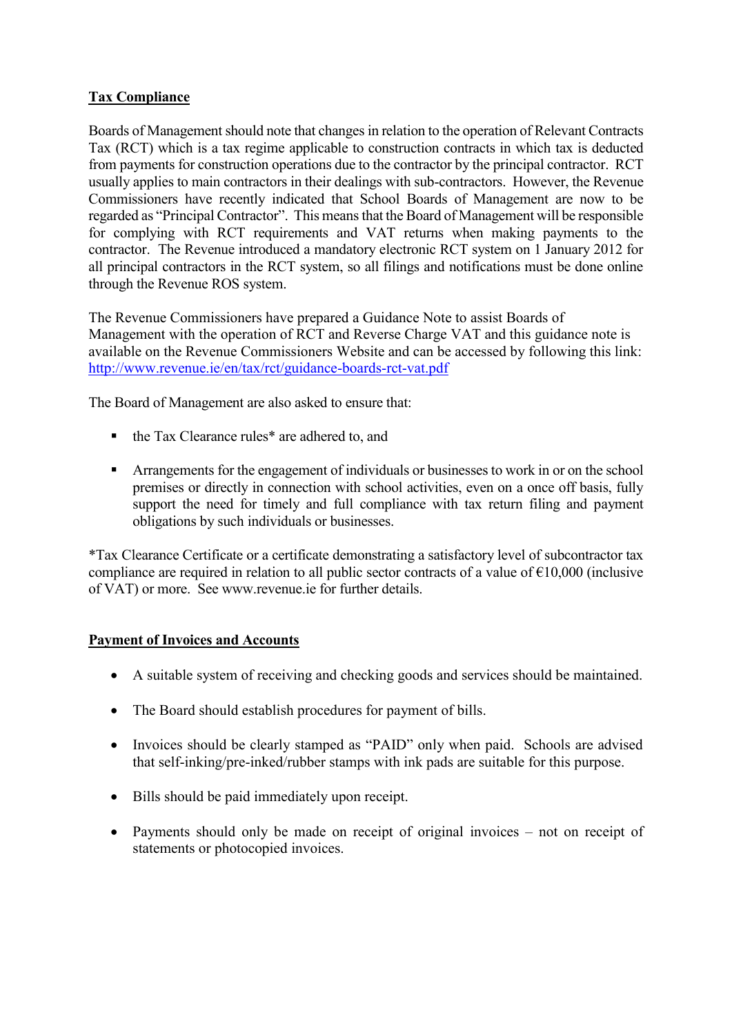### **Tax Compliance**

Boards of Management should note that changes in relation to the operation of Relevant Contracts Tax (RCT) which is a tax regime applicable to construction contracts in which tax is deducted from payments for construction operations due to the contractor by the principal contractor. RCT usually applies to main contractors in their dealings with sub-contractors. However, the Revenue Commissioners have recently indicated that School Boards of Management are now to be regarded as "Principal Contractor". This means that the Board of Management will be responsible for complying with RCT requirements and VAT returns when making payments to the contractor. The Revenue introduced a mandatory electronic RCT system on 1 January 2012 for all principal contractors in the RCT system, so all filings and notifications must be done online through the Revenue ROS system.

The Revenue Commissioners have prepared a Guidance Note to assist Boards of Management with the operation of RCT and Reverse Charge VAT and this guidance note is available on the Revenue Commissioners Website and can be accessed by following this link: <http://www.revenue.ie/en/tax/rct/guidance-boards-rct-vat.pdf>

The Board of Management are also asked to ensure that:

- the Tax Clearance rules\* are adhered to, and
- **EXECUTE:** Arrangements for the engagement of individuals or businesses to work in or on the school premises or directly in connection with school activities, even on a once off basis, fully support the need for timely and full compliance with tax return filing and payment obligations by such individuals or businesses.

\*Tax Clearance Certificate or a certificate demonstrating a satisfactory level of subcontractor tax compliance are required in relation to all public sector contracts of a value of  $\epsilon$ 10,000 (inclusive of VAT) or more. See www.revenue.ie for further details.

### **Payment of Invoices and Accounts**

- A suitable system of receiving and checking goods and services should be maintained.
- The Board should establish procedures for payment of bills.
- Invoices should be clearly stamped as "PAID" only when paid. Schools are advised that self-inking/pre-inked/rubber stamps with ink pads are suitable for this purpose.
- Bills should be paid immediately upon receipt.
- Payments should only be made on receipt of original invoices not on receipt of statements or photocopied invoices.